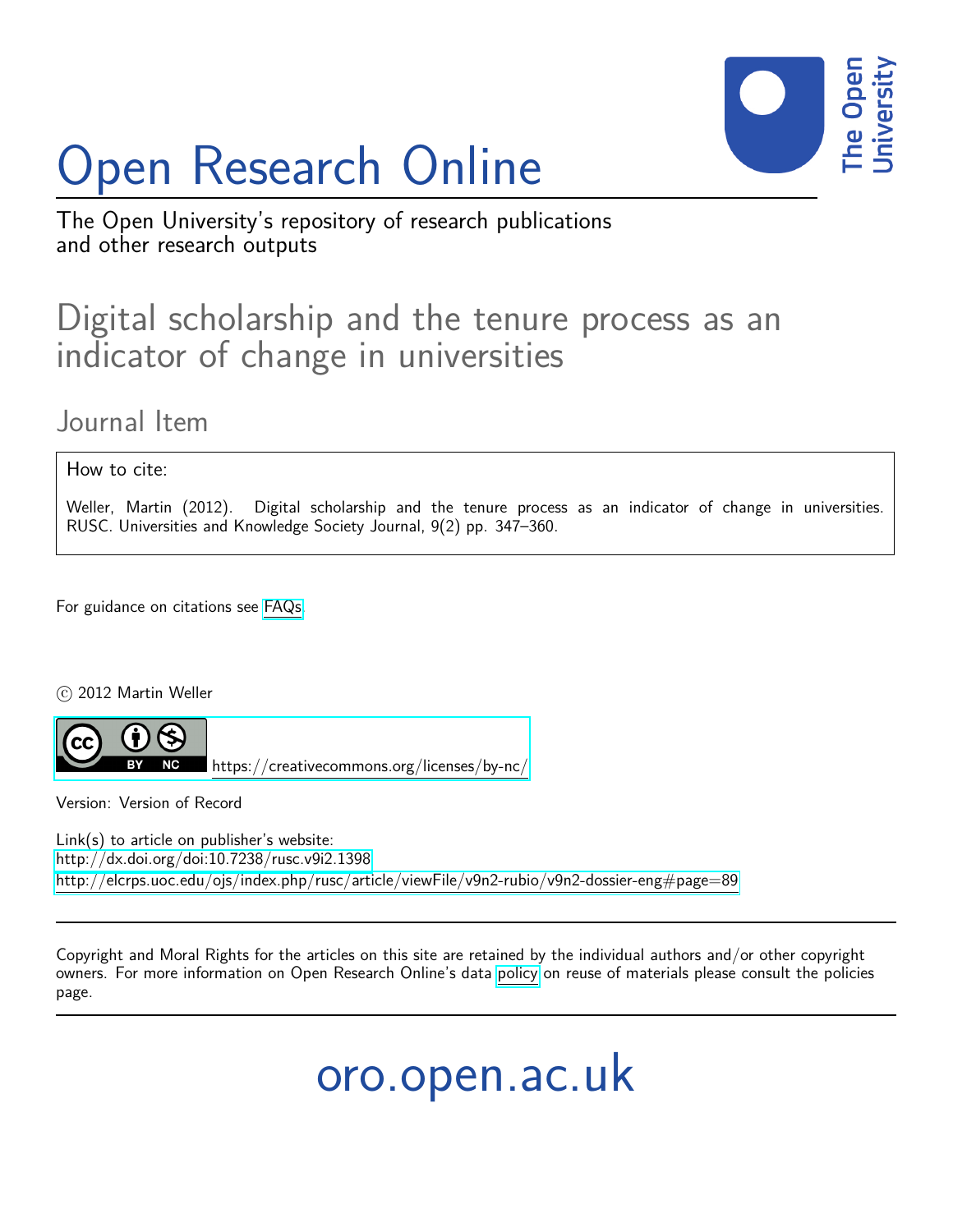# Open Research Online



The Open University's repository of research publications and other research outputs

# Digital scholarship and the tenure process as an indicator of change in universities

## Journal Item

### How to cite:

Weller, Martin (2012). Digital scholarship and the tenure process as an indicator of change in universities. RUSC. Universities and Knowledge Society Journal, 9(2) pp. 347–360.

For guidance on citations see [FAQs.](http://oro.open.ac.uk/help/helpfaq.html)

c 2012 Martin Weller



<https://creativecommons.org/licenses/by-nc/>

Version: Version of Record

Link(s) to article on publisher's website: <http://dx.doi.org/doi:10.7238/rusc.v9i2.1398> <http://elcrps.uoc.edu/ojs/index.php/rusc/article/viewFile/v9n2-rubio/v9n2-dossier-eng#page=89>

Copyright and Moral Rights for the articles on this site are retained by the individual authors and/or other copyright owners. For more information on Open Research Online's data [policy](http://oro.open.ac.uk/policies.html) on reuse of materials please consult the policies page.

oro.open.ac.uk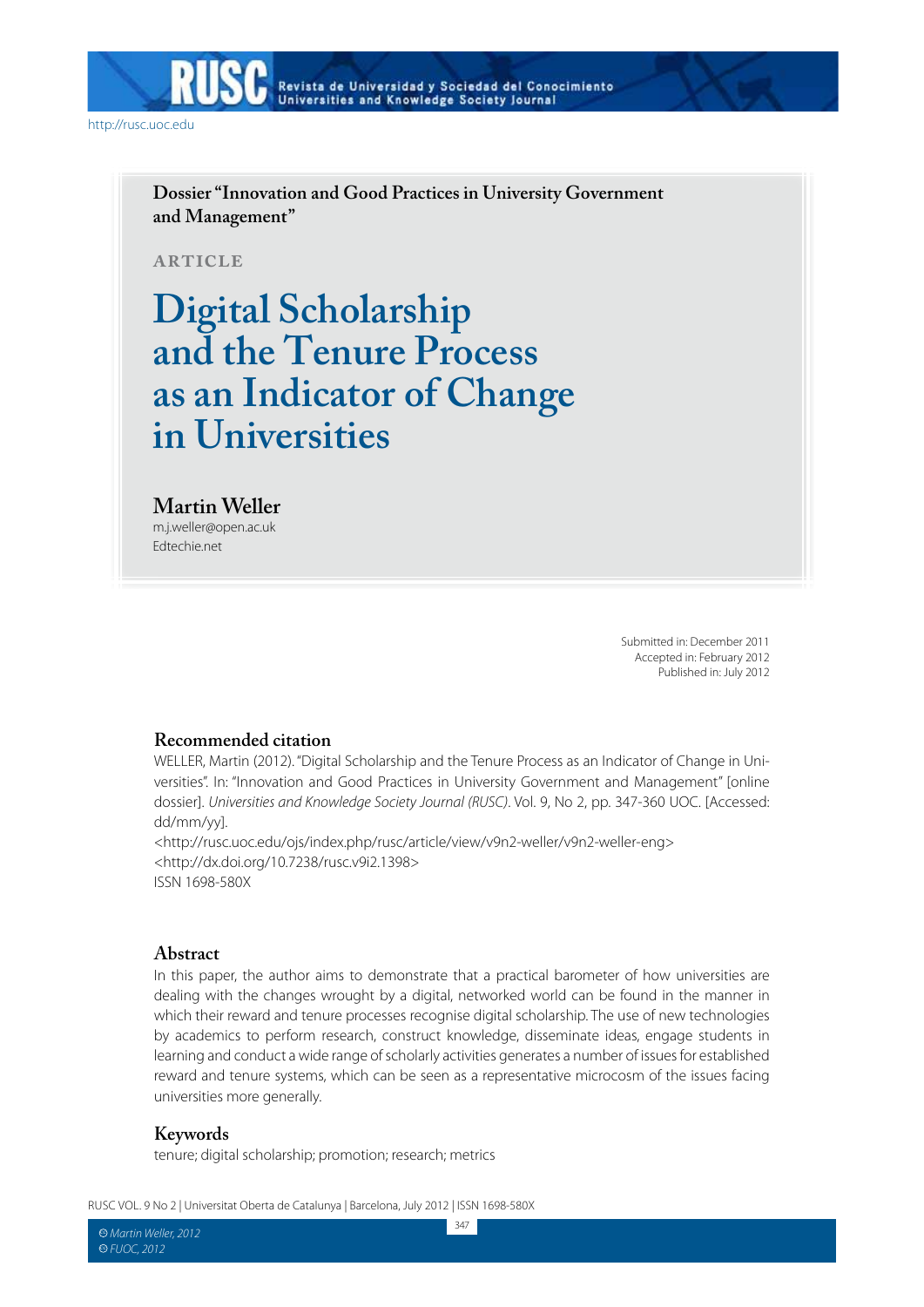**Dossier "Innovation and Good Practices in University Government and Management"**

Revista de Universidad y Sociedad del Conocimiento<br>Universities and Knowledge Society Journal

**ARTicLe**

<http://rusc.uoc.edu>

# **Digital Scholarship and the Tenure Process as an Indicator of Change in Universities**

**Martin Weller** [m.j.weller@open.ac.uk](mailto:m.j.weller@open.ac.uk) [Edtechie.net](http://www.edtechie.net)

> Submitted in: December 2011 Accepted in: February 2012 Published in: July 2012

#### **Recommended citation**

WELLER, Martin (2012). "Digital Scholarship and the Tenure Process as an Indicator of Change in Universities". In: "Innovation and Good Practices in University Government and Management" [online dossier]. *Universities and Knowledge Society Journal (RUSC)*. Vol. 9, No 2, pp. 347-360 UOC. [Accessed: dd/mm/yy].

<http://rusc.uoc.edu/ojs/index.php/rusc/article/view/v9n2-weller/v9n2-weller-eng> <http://dx.doi.org/10.7238/rusc.v9i2.1398> ISSN 1698-580X

#### **Abstract**

In this paper, the author aims to demonstrate that a practical barometer of how universities are dealing with the changes wrought by a digital, networked world can be found in the manner in which their reward and tenure processes recognise digital scholarship. The use of new technologies by academics to perform research, construct knowledge, disseminate ideas, engage students in learning and conduct a wide range of scholarly activities generates a number of issues for established reward and tenure systems, which can be seen as a representative microcosm of the issues facing universities more generally.

#### **Keywords**

tenure; digital scholarship; promotion; research; metrics

RUSC vol. 9 no 2 | Universitat Oberta de Catalunya | Barcelona, July 2012 | ISSN 1698-580X

*Martin Weller, 2012* **CC** *FUOC, 2012* **CC**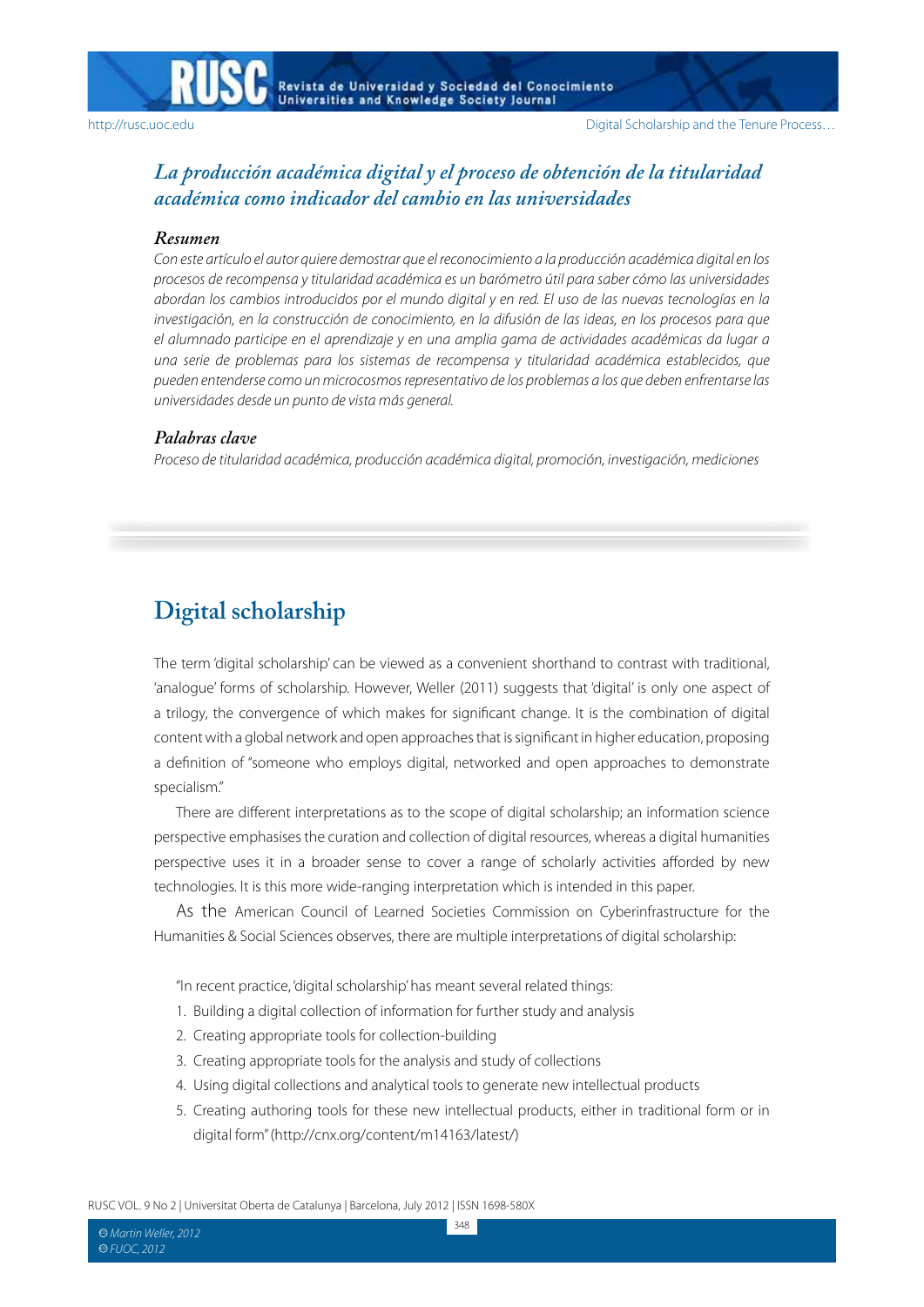## *La producción académica digital y el proceso de obtención de la titularidad académica como indicador del cambio en las universidades*

#### *Resumen*

*Con este artículo el autor quiere demostrar que el reconocimiento a la producción académica digital en los procesos de recompensa y titularidad académica es un barómetro útil para saber cómo las universidades abordan los cambios introducidos por el mundo digital y en red. El uso de las nuevas tecnologías en la investigación, en la construcción de conocimiento, en la difusión de las ideas, en los procesos para que el alumnado participe en el aprendizaje y en una amplia gama de actividades académicas da lugar a una serie de problemas para los sistemas de recompensa y titularidad académica establecidos, que pueden entenderse como un microcosmos representativo de los problemas a los que deben enfrentarse las universidades desde un punto de vista más general.* 

#### *Palabras clave*

*Proceso de titularidad académica, producción académica digital, promoción, investigación, mediciones*

## **Digital scholarship**

The term 'digital scholarship' can be viewed as a convenient shorthand to contrast with traditional, 'analogue' forms of scholarship. However, Weller (2011) suggests that 'digital' is only one aspect of a trilogy, the convergence of which makes for significant change. It is the combination of digital content with a global network and open approaches that is significant in higher education, proposing a definition of "someone who employs digital, networked and open approaches to demonstrate specialism."

There are different interpretations as to the scope of digital scholarship; an information science perspective emphasises the curation and collection of digital resources, whereas a digital humanities perspective uses it in a broader sense to cover a range of scholarly activities afforded by new technologies. It is this more wide-ranging interpretation which is intended in this paper.

As the American Council of Learned Societies Commission on Cyberinfrastructure for the Humanities & Social Sciences observes, there are multiple interpretations of digital scholarship:

"In recent practice, 'digital scholarship' has meant several related things:

- 1. Building a digital collection of information for further study and analysis
- 2. Creating appropriate tools for collection-building
- 3. Creating appropriate tools for the analysis and study of collections
- 4. Using digital collections and analytical tools to generate new intellectual products
- 5. Creating authoring tools for these new intellectual products, either in traditional form or in digital form" [\(http://cnx.org/content/m14163/latest/\)](http://cnx.org/content/m14163/latest/)

RUSC VOL. 9 No 2 | Universitat Oberta de Catalunya | Barcelona, July 2012 | ISSN 1698-580X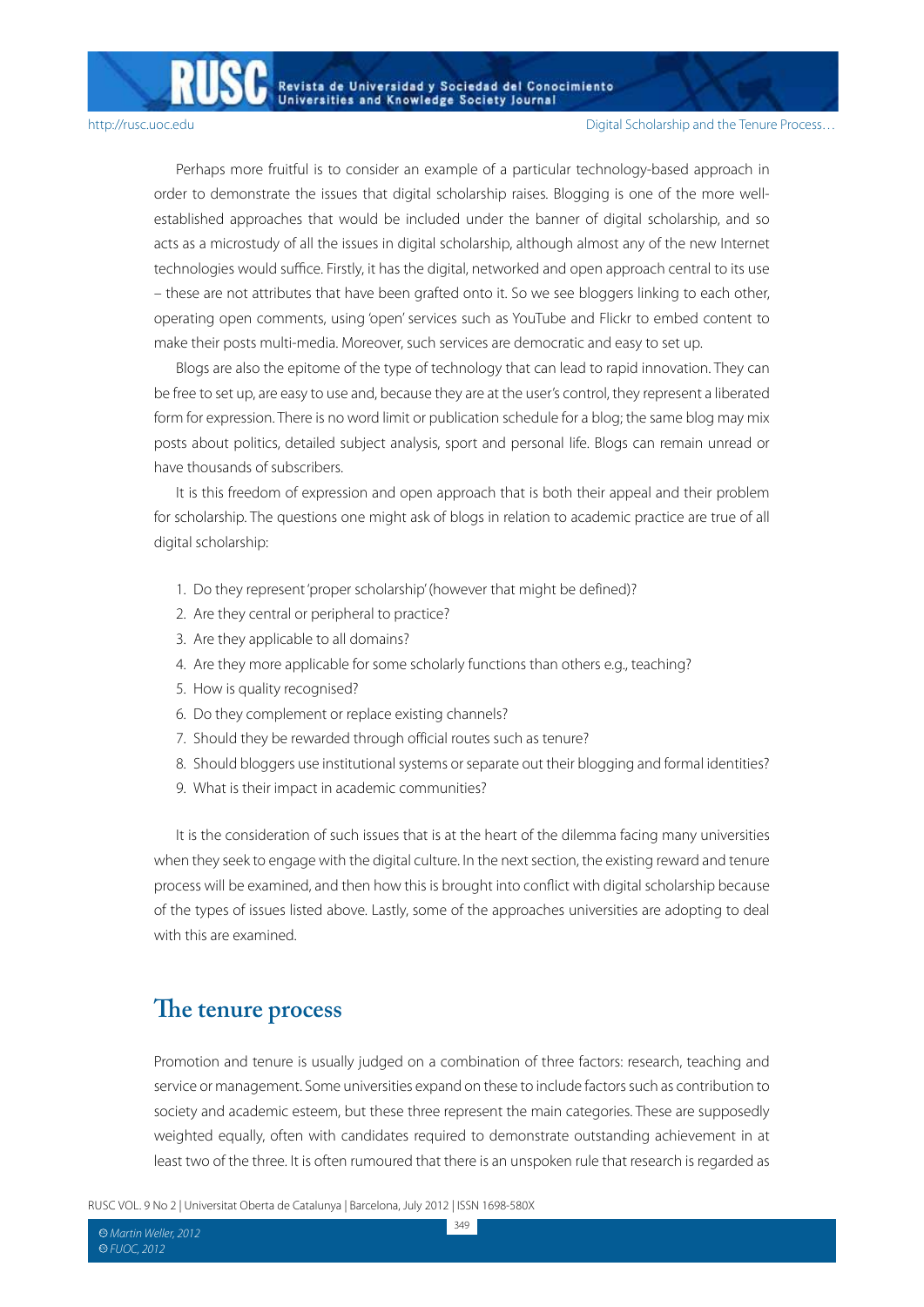Perhaps more fruitful is to consider an example of a particular technology-based approach in order to demonstrate the issues that digital scholarship raises. Blogging is one of the more wellestablished approaches that would be included under the banner of digital scholarship, and so acts as a microstudy of all the issues in digital scholarship, although almost any of the new Internet technologies would suffice. Firstly, it has the digital, networked and open approach central to its use – these are not attributes that have been grafted onto it. So we see bloggers linking to each other, operating open comments, using 'open' services such as YouTube and Flickr to embed content to make their posts multi-media. Moreover, such services are democratic and easy to set up.

Blogs are also the epitome of the type of technology that can lead to rapid innovation. They can be free to set up, are easy to use and, because they are at the user's control, they represent a liberated form for expression. There is no word limit or publication schedule for a blog; the same blog may mix posts about politics, detailed subject analysis, sport and personal life. Blogs can remain unread or have thousands of subscribers.

It is this freedom of expression and open approach that is both their appeal and their problem for scholarship. The questions one might ask of blogs in relation to academic practice are true of all digital scholarship:

- 1. Do they represent 'proper scholarship' (however that might be defined)?
- 2. Are they central or peripheral to practice?
- 3. Are they applicable to all domains?
- 4. Are they more applicable for some scholarly functions than others e.g., teaching?
- 5. How is quality recognised?
- 6. Do they complement or replace existing channels?
- 7. Should they be rewarded through official routes such as tenure?
- 8. Should bloggers use institutional systems or separate out their blogging and formal identities?
- 9. What is their impact in academic communities?

It is the consideration of such issues that is at the heart of the dilemma facing many universities when they seek to engage with the digital culture. In the next section, the existing reward and tenure process will be examined, and then how this is brought into conflict with digital scholarship because of the types of issues listed above. Lastly, some of the approaches universities are adopting to deal with this are examined.

## **The tenure process**

Promotion and tenure is usually judged on a combination of three factors: research, teaching and service or management. Some universities expand on these to include factors such as contribution to society and academic esteem, but these three represent the main categories. These are supposedly weighted equally, often with candidates required to demonstrate outstanding achievement in at least two of the three. It is often rumoured that there is an unspoken rule that research is regarded as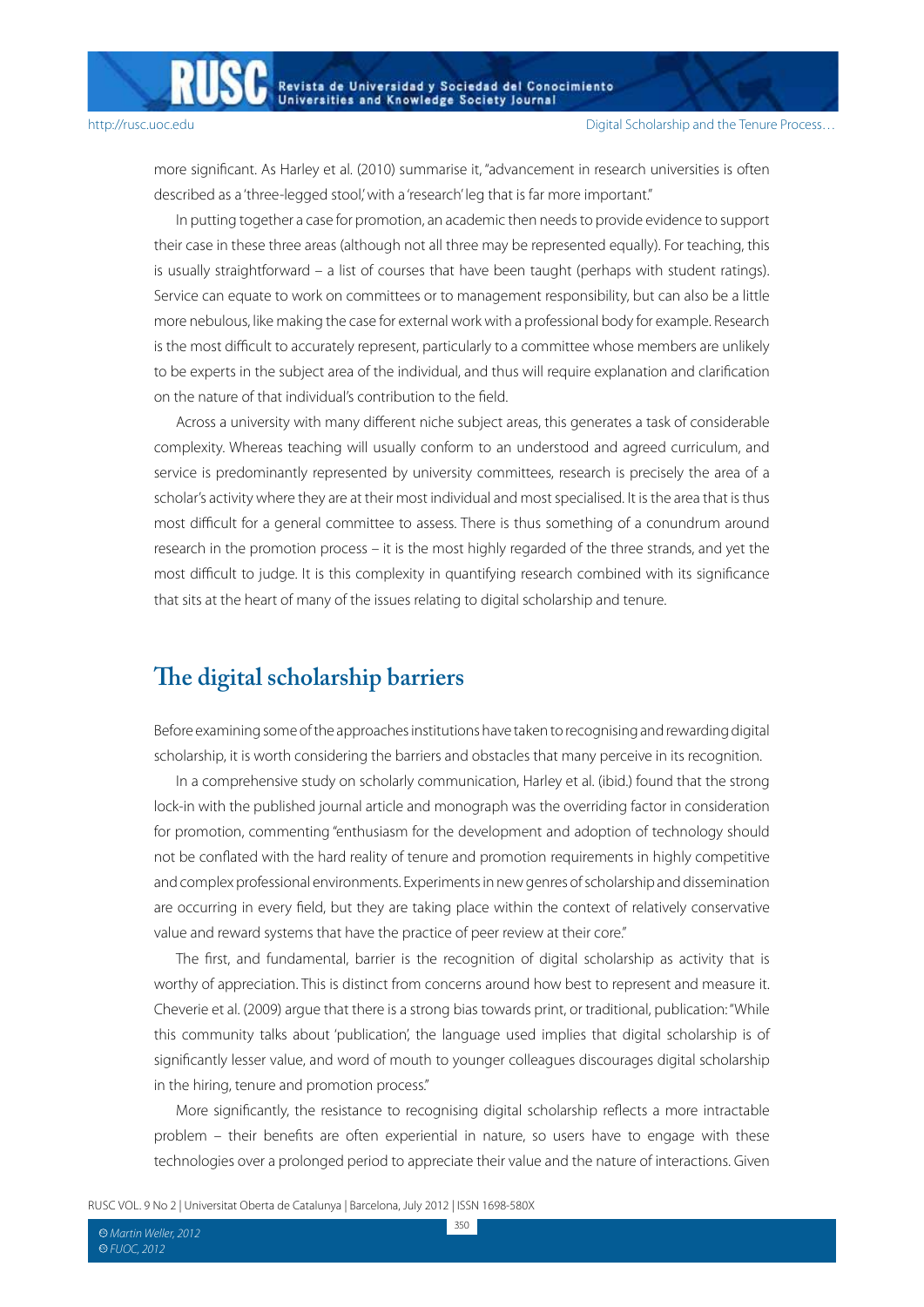more significant. As Harley et al. (2010) summarise it, "advancement in research universities is often described as a 'three-legged stool,' with a 'research' leg that is far more important."

In putting together a case for promotion, an academic then needs to provide evidence to support their case in these three areas (although not all three may be represented equally). For teaching, this is usually straightforward – a list of courses that have been taught (perhaps with student ratings). Service can equate to work on committees or to management responsibility, but can also be a little more nebulous, like making the case for external work with a professional body for example. Research is the most difficult to accurately represent, particularly to a committee whose members are unlikely to be experts in the subject area of the individual, and thus will require explanation and clarification on the nature of that individual's contribution to the field.

Across a university with many different niche subject areas, this generates a task of considerable complexity. Whereas teaching will usually conform to an understood and agreed curriculum, and service is predominantly represented by university committees, research is precisely the area of a scholar's activity where they are at their most individual and most specialised. It is the area that is thus most difficult for a general committee to assess. There is thus something of a conundrum around research in the promotion process – it is the most highly regarded of the three strands, and yet the most difficult to judge. It is this complexity in quantifying research combined with its significance that sits at the heart of many of the issues relating to digital scholarship and tenure.

## **The digital scholarship barriers**

Before examining some of the approaches institutions have taken to recognising and rewarding digital scholarship, it is worth considering the barriers and obstacles that many perceive in its recognition.

In a comprehensive study on scholarly communication, Harley et al. (ibid.) found that the strong lock-in with the published journal article and monograph was the overriding factor in consideration for promotion, commenting "enthusiasm for the development and adoption of technology should not be conflated with the hard reality of tenure and promotion requirements in highly competitive and complex professional environments. Experiments in new genres of scholarship and dissemination are occurring in every field, but they are taking place within the context of relatively conservative value and reward systems that have the practice of peer review at their core."

The first, and fundamental, barrier is the recognition of digital scholarship as activity that is worthy of appreciation. This is distinct from concerns around how best to represent and measure it. Cheverie et al. (2009) argue that there is a strong bias towards print, or traditional, publication: "While this community talks about 'publication', the language used implies that digital scholarship is of significantly lesser value, and word of mouth to younger colleagues discourages digital scholarship in the hiring, tenure and promotion process."

More significantly, the resistance to recognising digital scholarship reflects a more intractable problem – their benefits are often experiential in nature, so users have to engage with these technologies over a prolonged period to appreciate their value and the nature of interactions. Given

RUSC VOL. 9 No 2 | Universitat Oberta de Catalunya | Barcelona, July 2012 | ISSN 1698-580X

*Martin Weller, 2012* **CC** *FUOC, 2012* **CC**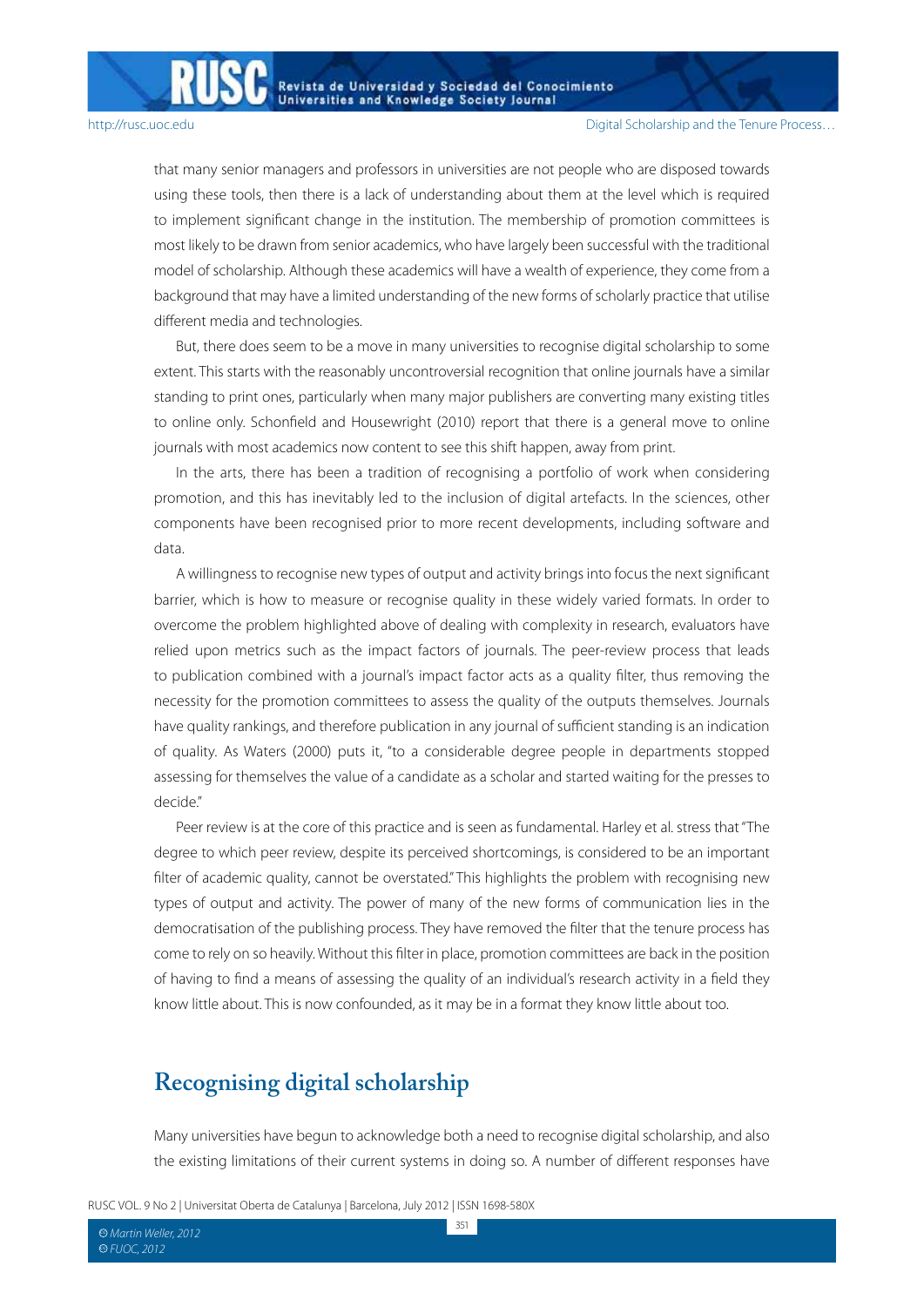that many senior managers and professors in universities are not people who are disposed towards using these tools, then there is a lack of understanding about them at the level which is required to implement significant change in the institution. The membership of promotion committees is most likely to be drawn from senior academics, who have largely been successful with the traditional model of scholarship. Although these academics will have a wealth of experience, they come from a background that may have a limited understanding of the new forms of scholarly practice that utilise different media and technologies.

But, there does seem to be a move in many universities to recognise digital scholarship to some extent. This starts with the reasonably uncontroversial recognition that online journals have a similar standing to print ones, particularly when many major publishers are converting many existing titles to online only. Schonfield and Housewright (2010) report that there is a general move to online journals with most academics now content to see this shift happen, away from print.

In the arts, there has been a tradition of recognising a portfolio of work when considering promotion, and this has inevitably led to the inclusion of digital artefacts. In the sciences, other components have been recognised prior to more recent developments, including software and data.

A willingness to recognise new types of output and activity brings into focus the next significant barrier, which is how to measure or recognise quality in these widely varied formats. In order to overcome the problem highlighted above of dealing with complexity in research, evaluators have relied upon metrics such as the impact factors of journals. The peer-review process that leads to publication combined with a journal's impact factor acts as a quality filter, thus removing the necessity for the promotion committees to assess the quality of the outputs themselves. Journals have quality rankings, and therefore publication in any journal of sufficient standing is an indication of quality. As Waters (2000) puts it, "to a considerable degree people in departments stopped assessing for themselves the value of a candidate as a scholar and started waiting for the presses to decide."

Peer review is at the core of this practice and is seen as fundamental. Harley et al. stress that "The degree to which peer review, despite its perceived shortcomings, is considered to be an important filter of academic quality, cannot be overstated." This highlights the problem with recognising new types of output and activity. The power of many of the new forms of communication lies in the democratisation of the publishing process. They have removed the filter that the tenure process has come to rely on so heavily. Without this filter in place, promotion committees are back in the position of having to find a means of assessing the quality of an individual's research activity in a field they know little about. This is now confounded, as it may be in a format they know little about too.

## **Recognising digital scholarship**

Many universities have begun to acknowledge both a need to recognise digital scholarship, and also the existing limitations of their current systems in doing so. A number of different responses have

RUSC VOL. 9 No 2 | Universitat Oberta de Catalunya | Barcelona, July 2012 | ISSN 1698-580X

*Martin Weller, 2012* **CC** *FUOC, 2012* **CC**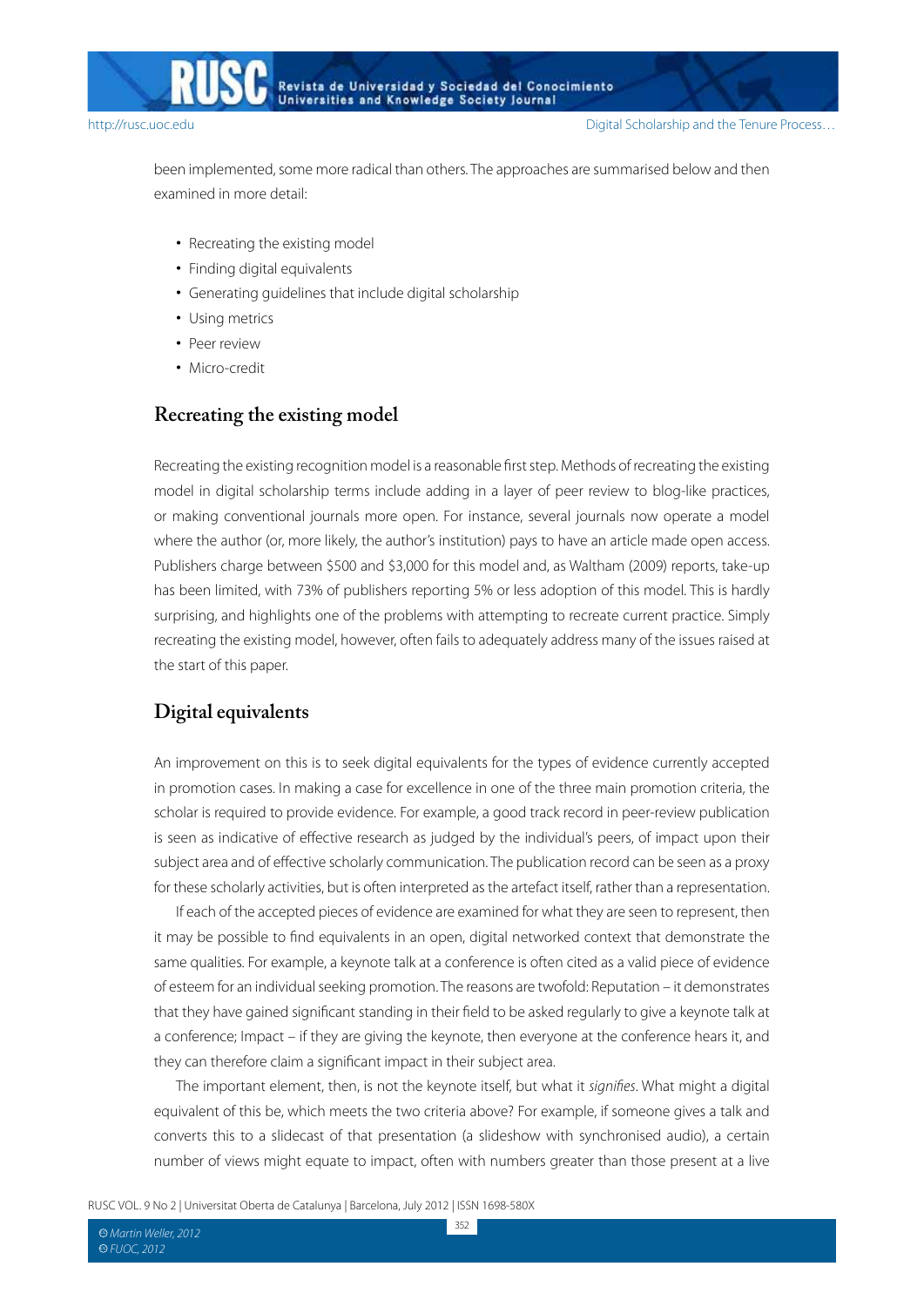been implemented, some more radical than others. The approaches are summarised below and then examined in more detail:

- Recreating the existing model
- Finding digital equivalents
- Generating guidelines that include digital scholarship
- Using metrics
- Peer review
- Micro-credit

#### **Recreating the existing model**

Recreating the existing recognition model is a reasonable first step. Methods of recreating the existing model in digital scholarship terms include adding in a layer of peer review to blog-like practices, or making conventional journals more open. For instance, several journals now operate a model where the author (or, more likely, the author's institution) pays to have an article made open access. Publishers charge between \$500 and \$3,000 for this model and, as Waltham (2009) reports, take-up has been limited, with 73% of publishers reporting 5% or less adoption of this model. This is hardly surprising, and highlights one of the problems with attempting to recreate current practice. Simply recreating the existing model, however, often fails to adequately address many of the issues raised at the start of this paper.

### **Digital equivalents**

An improvement on this is to seek digital equivalents for the types of evidence currently accepted in promotion cases. In making a case for excellence in one of the three main promotion criteria, the scholar is required to provide evidence. For example, a good track record in peer-review publication is seen as indicative of effective research as judged by the individual's peers, of impact upon their subject area and of effective scholarly communication. The publication record can be seen as a proxy for these scholarly activities, but is often interpreted as the artefact itself, rather than a representation.

If each of the accepted pieces of evidence are examined for what they are seen to represent, then it may be possible to find equivalents in an open, digital networked context that demonstrate the same qualities. For example, a keynote talk at a conference is often cited as a valid piece of evidence of esteem for an individual seeking promotion. The reasons are twofold: Reputation – it demonstrates that they have gained significant standing in their field to be asked regularly to give a keynote talk at a conference; Impact – if they are giving the keynote, then everyone at the conference hears it, and they can therefore claim a significant impact in their subject area.

The important element, then, is not the keynote itself, but what it *signifies*. What might a digital equivalent of this be, which meets the two criteria above? For example, if someone gives a talk and converts this to a slidecast of that presentation (a slideshow with synchronised audio), a certain number of views might equate to impact, often with numbers greater than those present at a live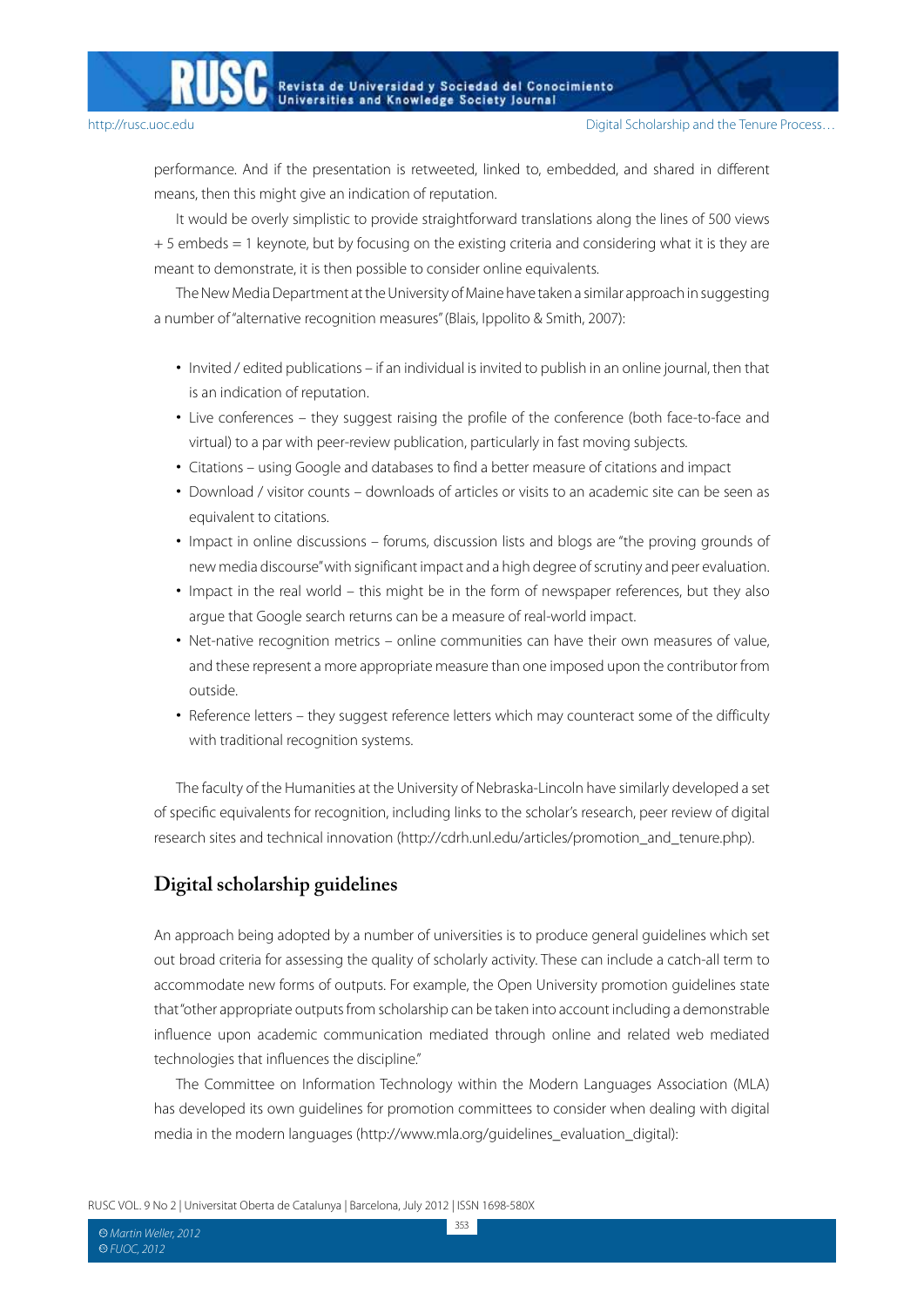performance. And if the presentation is retweeted, linked to, embedded, and shared in different means, then this might give an indication of reputation.

It would be overly simplistic to provide straightforward translations along the lines of 500 views + 5 embeds = 1 keynote, but by focusing on the existing criteria and considering what it is they are meant to demonstrate, it is then possible to consider online equivalents.

The New Media Department at the University of Maine have taken a similar approach in suggesting a number of "alternative recognition measures" (Blais, Ippolito & Smith, 2007):

- Invited / edited publications if an individual is invited to publish in an online journal, then that is an indication of reputation.
- Live conferences they suggest raising the profile of the conference (both face-to-face and virtual) to a par with peer-review publication, particularly in fast moving subjects.
- Citations using Google and databases to find a better measure of citations and impact
- Download / visitor counts downloads of articles or visits to an academic site can be seen as equivalent to citations.
- Impact in online discussions forums, discussion lists and blogs are "the proving grounds of new media discourse" with significant impact and a high degree of scrutiny and peer evaluation.
- Impact in the real world this might be in the form of newspaper references, but they also argue that Google search returns can be a measure of real-world impact.
- Net-native recognition metrics online communities can have their own measures of value, and these represent a more appropriate measure than one imposed upon the contributor from outside.
- Reference letters they suggest reference letters which may counteract some of the difficulty with traditional recognition systems.

The faculty of the Humanities at the University of Nebraska-Lincoln have similarly developed a set of specific equivalents for recognition, including links to the scholar's research, peer review of digital research sites and technical innovation [\(http://cdrh.unl.edu/articles/promotion\\_and\\_tenure.php\)](http://cdrh.unl.edu/articles/promotion_and_tenure.php).

#### **Digital scholarship guidelines**

An approach being adopted by a number of universities is to produce general guidelines which set out broad criteria for assessing the quality of scholarly activity. These can include a catch-all term to accommodate new forms of outputs. For example, the Open University promotion guidelines state that "other appropriate outputs from scholarship can be taken into account including a demonstrable influence upon academic communication mediated through online and related web mediated technologies that influences the discipline."

The Committee on Information Technology within the Modern Languages Association (MLA) has developed its own guidelines for promotion committees to consider when dealing with digital media in the modern languages [\(http://www.mla.org/guidelines\\_evaluation\\_digital\)](http://www.mla.org/guidelines_evaluation_digital):

RUSC VOL. 9 No 2 | Universitat Oberta de Catalunya | Barcelona, July 2012 | ISSN 1698-580X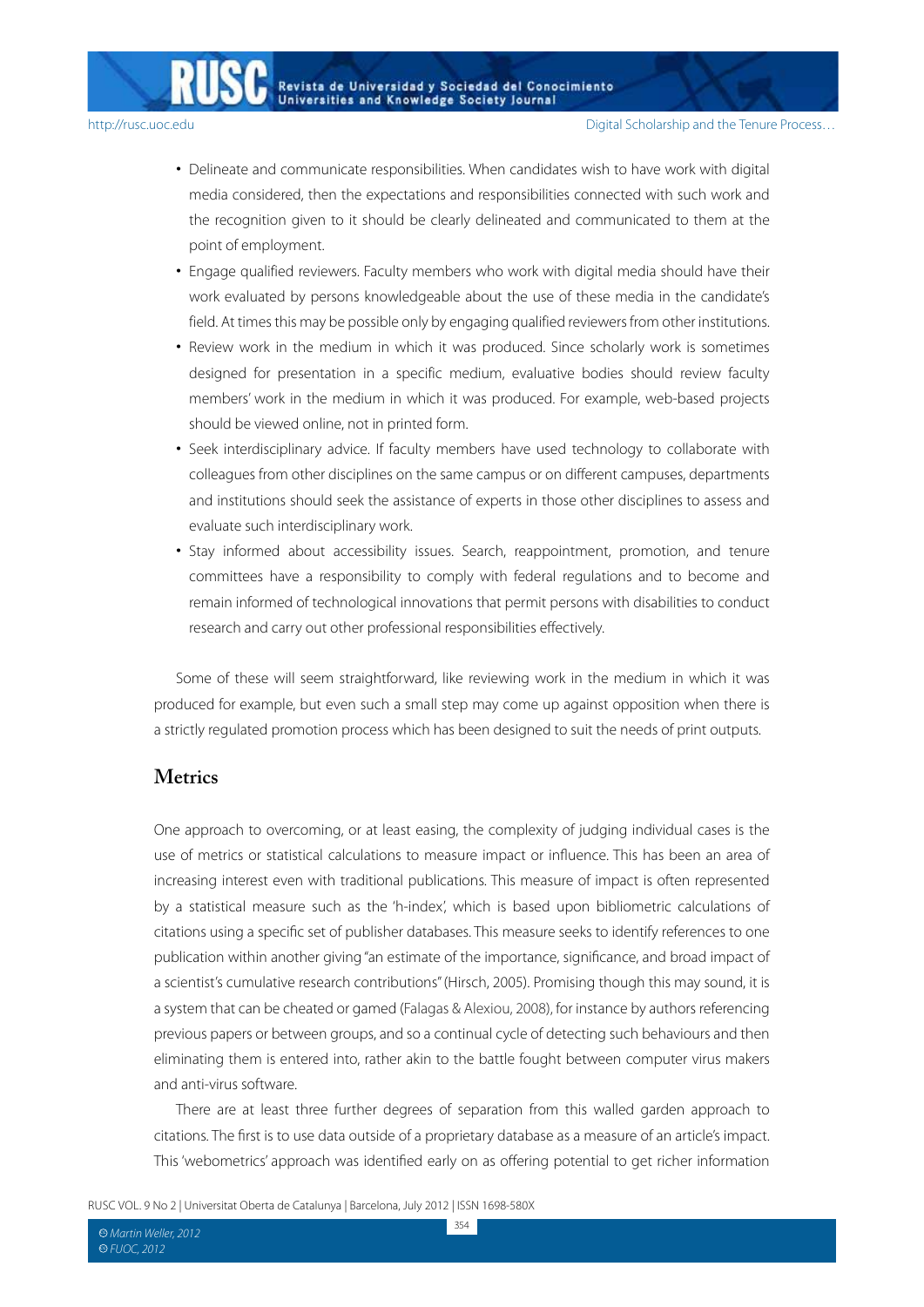- Delineate and communicate responsibilities. When candidates wish to have work with digital media considered, then the expectations and responsibilities connected with such work and the recognition given to it should be clearly delineated and communicated to them at the point of employment.
- Engage qualified reviewers. Faculty members who work with digital media should have their work evaluated by persons knowledgeable about the use of these media in the candidate's field. At times this may be possible only by engaging qualified reviewers from other institutions.
- Review work in the medium in which it was produced. Since scholarly work is sometimes designed for presentation in a specific medium, evaluative bodies should review faculty members' work in the medium in which it was produced. For example, web-based projects should be viewed online, not in printed form.
- Seek interdisciplinary advice. If faculty members have used technology to collaborate with colleagues from other disciplines on the same campus or on different campuses, departments and institutions should seek the assistance of experts in those other disciplines to assess and evaluate such interdisciplinary work.
- Stay informed about accessibility issues. Search, reappointment, promotion, and tenure committees have a responsibility to comply with federal regulations and to become and remain informed of technological innovations that permit persons with disabilities to conduct research and carry out other professional responsibilities effectively.

Some of these will seem straightforward, like reviewing work in the medium in which it was produced for example, but even such a small step may come up against opposition when there is a strictly regulated promotion process which has been designed to suit the needs of print outputs.

#### **Metrics**

One approach to overcoming, or at least easing, the complexity of judging individual cases is the use of metrics or statistical calculations to measure impact or influence. This has been an area of increasing interest even with traditional publications. This measure of impact is often represented by a statistical measure such as the 'h-index', which is based upon bibliometric calculations of citations using a specific set of publisher databases. This measure seeks to identify references to one publication within another giving "an estimate of the importance, significance, and broad impact of a scientist's cumulative research contributions" (Hirsch, 2005). Promising though this may sound, it is a system that can be cheated or gamed (Falagas & Alexiou, 2008), for instance by authors referencing previous papers or between groups, and so a continual cycle of detecting such behaviours and then eliminating them is entered into, rather akin to the battle fought between computer virus makers and anti-virus software.

There are at least three further degrees of separation from this walled garden approach to citations. The first is to use data outside of a proprietary database as a measure of an article's impact. This 'webometrics' approach was identified early on as offering potential to get richer information

RUSC VOL. 9 No 2 | Universitat Oberta de Catalunya | Barcelona, July 2012 | ISSN 1698-580X

*Martin Weller, 2012* **CC** *FUOC, 2012* **CC**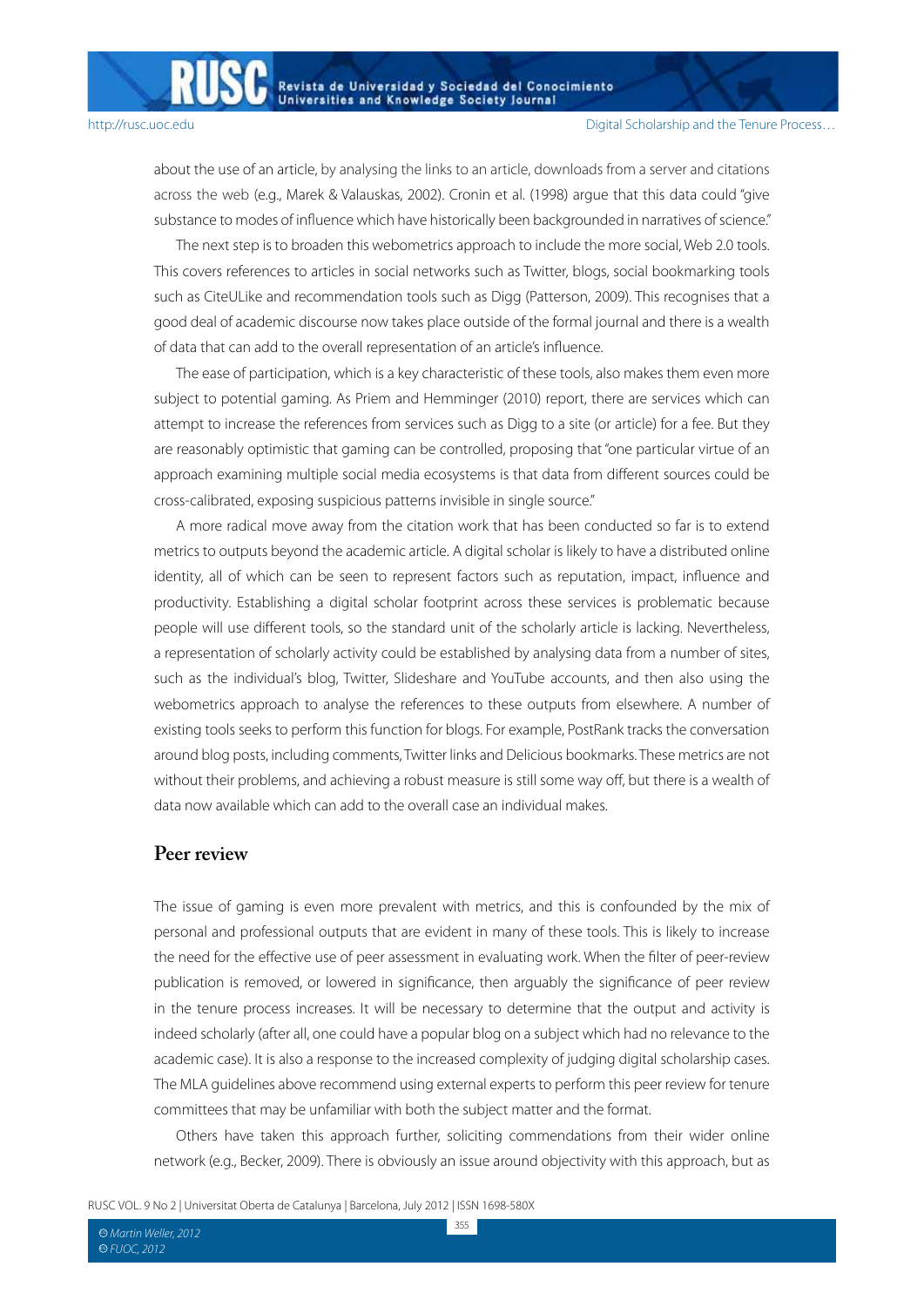about the use of an article, by analysing the links to an article, downloads from a server and citations across the web (e.g., Marek & Valauskas, 2002). Cronin et al. (1998) argue that this data could "give substance to modes of influence which have historically been backgrounded in narratives of science."

The next step is to broaden this webometrics approach to include the more social, Web 2.0 tools. This covers references to articles in social networks such as Twitter, blogs, social bookmarking tools such as CiteULike and recommendation tools such as Digg (Patterson, 2009). This recognises that a good deal of academic discourse now takes place outside of the formal journal and there is a wealth of data that can add to the overall representation of an article's influence.

The ease of participation, which is a key characteristic of these tools, also makes them even more subject to potential gaming. As Priem and Hemminger (2010) report, there are services which can attempt to increase the references from services such as Digg to a site (or article) for a fee. But they are reasonably optimistic that gaming can be controlled, proposing that "one particular virtue of an approach examining multiple social media ecosystems is that data from different sources could be cross-calibrated, exposing suspicious patterns invisible in single source."

A more radical move away from the citation work that has been conducted so far is to extend metrics to outputs beyond the academic article. A digital scholar is likely to have a distributed online identity, all of which can be seen to represent factors such as reputation, impact, influence and productivity. Establishing a digital scholar footprint across these services is problematic because people will use different tools, so the standard unit of the scholarly article is lacking. Nevertheless, a representation of scholarly activity could be established by analysing data from a number of sites, such as the individual's blog, Twitter, Slideshare and YouTube accounts, and then also using the webometrics approach to analyse the references to these outputs from elsewhere. A number of existing tools seeks to perform this function for blogs. For example, PostRank tracks the conversation around blog posts, including comments, Twitter links and Delicious bookmarks. These metrics are not without their problems, and achieving a robust measure is still some way off, but there is a wealth of data now available which can add to the overall case an individual makes.

#### **Peer review**

The issue of gaming is even more prevalent with metrics, and this is confounded by the mix of personal and professional outputs that are evident in many of these tools. This is likely to increase the need for the effective use of peer assessment in evaluating work. When the filter of peer-review publication is removed, or lowered in significance, then arguably the significance of peer review in the tenure process increases. It will be necessary to determine that the output and activity is indeed scholarly (after all, one could have a popular blog on a subject which had no relevance to the academic case). It is also a response to the increased complexity of judging digital scholarship cases. The MLA guidelines above recommend using external experts to perform this peer review for tenure committees that may be unfamiliar with both the subject matter and the format.

Others have taken this approach further, soliciting commendations from their wider online network (e.g., Becker, 2009). There is obviously an issue around objectivity with this approach, but as

RUSC VOL. 9 No 2 | Universitat Oberta de Catalunya | Barcelona, July 2012 | ISSN 1698-580X

*Martin Weller, 2012* **CC** *FUOC, 2012* **CC**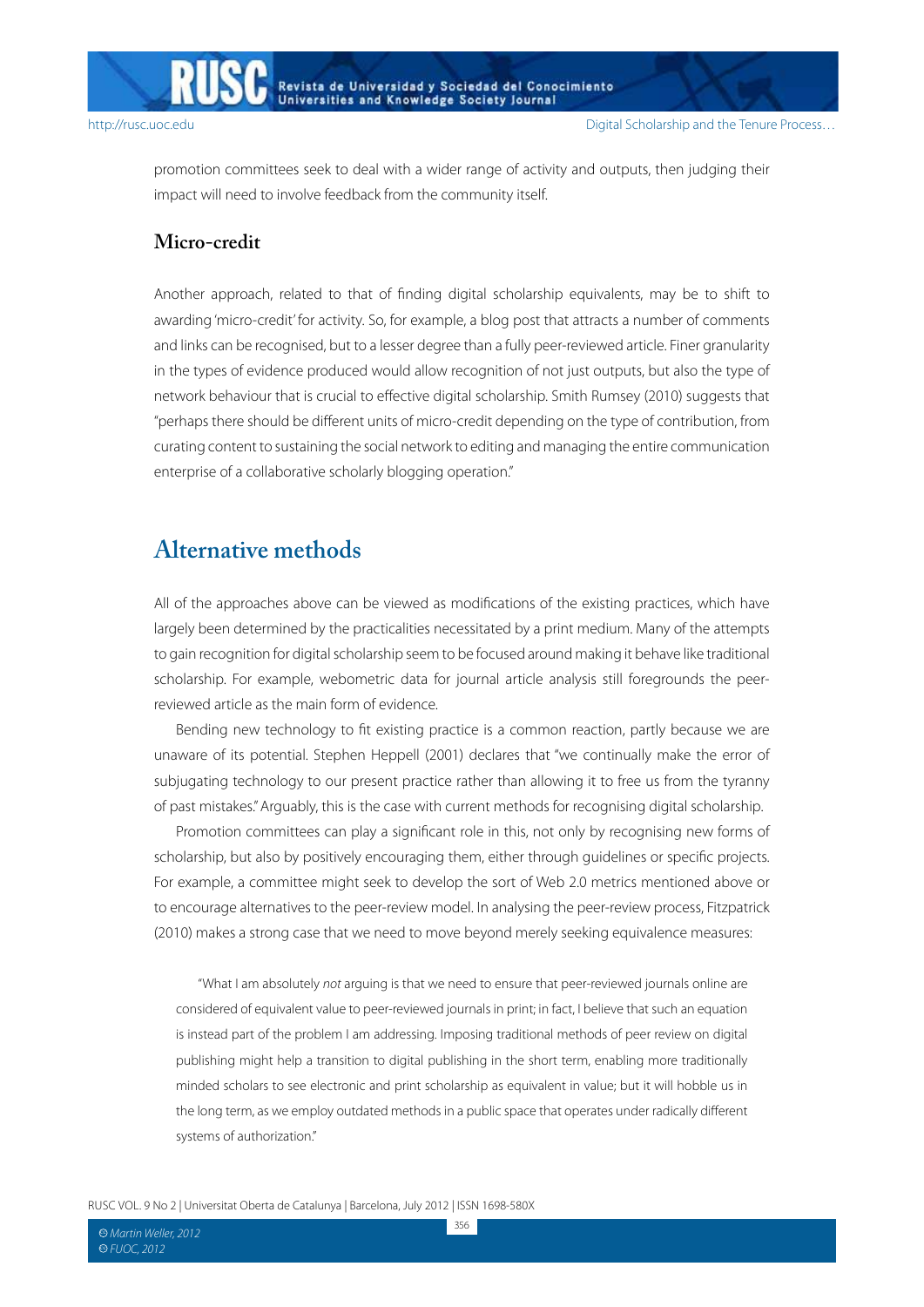promotion committees seek to deal with a wider range of activity and outputs, then judging their impact will need to involve feedback from the community itself.

### **Micro-credit**

Another approach, related to that of finding digital scholarship equivalents, may be to shift to awarding 'micro-credit' for activity. So, for example, a blog post that attracts a number of comments and links can be recognised, but to a lesser degree than a fully peer-reviewed article. Finer granularity in the types of evidence produced would allow recognition of not just outputs, but also the type of network behaviour that is crucial to effective digital scholarship. Smith Rumsey (2010) suggests that "perhaps there should be different units of micro-credit depending on the type of contribution, from curating content to sustaining the social network to editing and managing the entire communication enterprise of a collaborative scholarly blogging operation."

## **Alternative methods**

All of the approaches above can be viewed as modifications of the existing practices, which have largely been determined by the practicalities necessitated by a print medium. Many of the attempts to gain recognition for digital scholarship seem to be focused around making it behave like traditional scholarship. For example, webometric data for journal article analysis still foregrounds the peerreviewed article as the main form of evidence.

Bending new technology to fit existing practice is a common reaction, partly because we are unaware of its potential. Stephen Heppell (2001) declares that "we continually make the error of subjugating technology to our present practice rather than allowing it to free us from the tyranny of past mistakes." Arguably, this is the case with current methods for recognising digital scholarship.

Promotion committees can play a significant role in this, not only by recognising new forms of scholarship, but also by positively encouraging them, either through guidelines or specific projects. For example, a committee might seek to develop the sort of Web 2.0 metrics mentioned above or to encourage alternatives to the peer-review model. In analysing the peer-review process, Fitzpatrick (2010) makes a strong case that we need to move beyond merely seeking equivalence measures:

"What I am absolutely *not* arguing is that we need to ensure that peer-reviewed journals online are considered of equivalent value to peer-reviewed journals in print; in fact, I believe that such an equation is instead part of the problem I am addressing. Imposing traditional methods of peer review on digital publishing might help a transition to digital publishing in the short term, enabling more traditionally minded scholars to see electronic and print scholarship as equivalent in value; but it will hobble us in the long term, as we employ outdated methods in a public space that operates under radically different systems of authorization."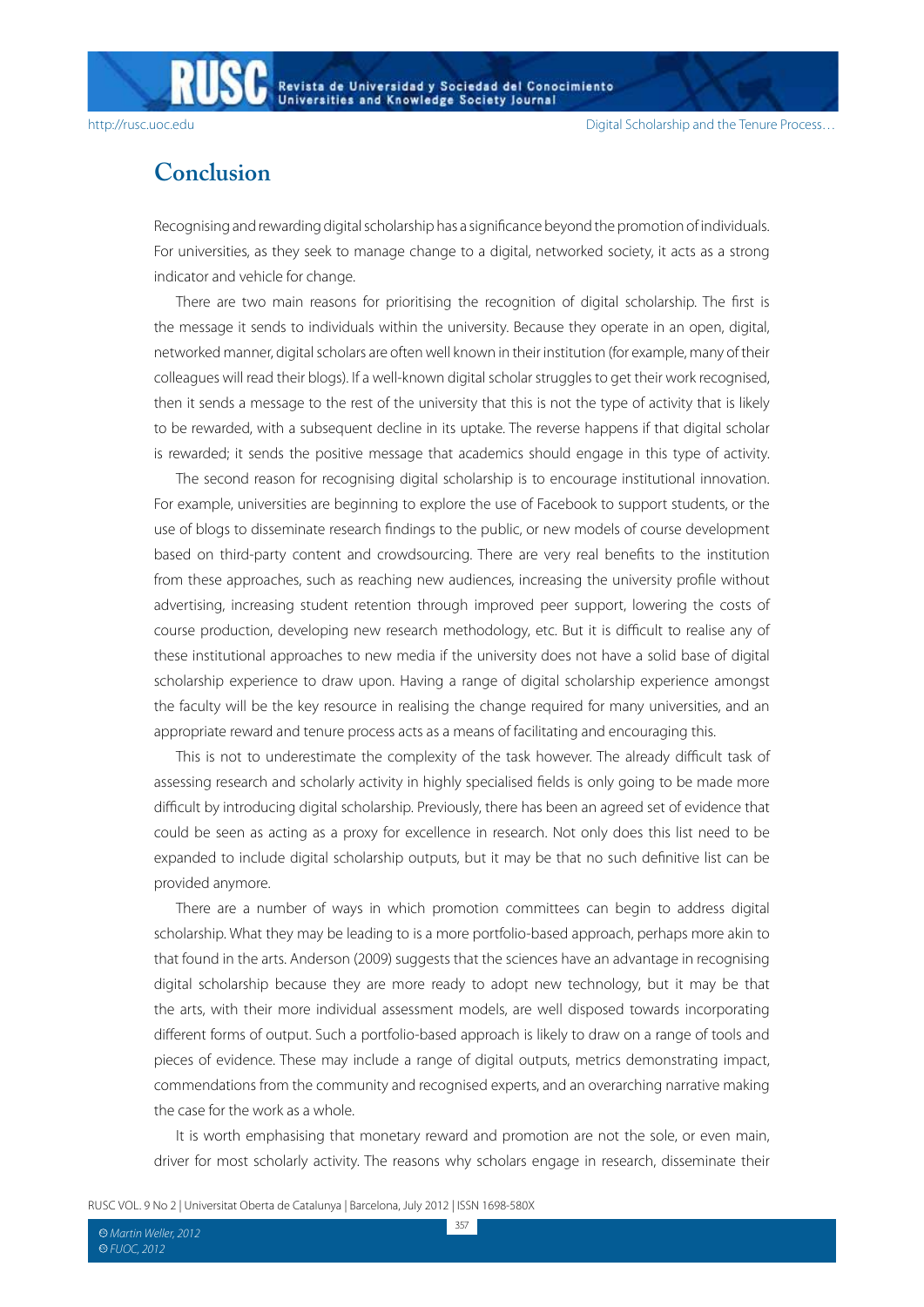## **Conclusion**

Recognising and rewarding digital scholarship has a significance beyond the promotion of individuals. For universities, as they seek to manage change to a digital, networked society, it acts as a strong indicator and vehicle for change.

There are two main reasons for prioritising the recognition of digital scholarship. The first is the message it sends to individuals within the university. Because they operate in an open, digital, networked manner, digital scholars are often well known in their institution (for example, many of their colleagues will read their blogs). If a well-known digital scholar struggles to get their work recognised, then it sends a message to the rest of the university that this is not the type of activity that is likely to be rewarded, with a subsequent decline in its uptake. The reverse happens if that digital scholar is rewarded; it sends the positive message that academics should engage in this type of activity.

The second reason for recognising digital scholarship is to encourage institutional innovation. For example, universities are beginning to explore the use of Facebook to support students, or the use of blogs to disseminate research findings to the public, or new models of course development based on third-party content and crowdsourcing. There are very real benefits to the institution from these approaches, such as reaching new audiences, increasing the university profile without advertising, increasing student retention through improved peer support, lowering the costs of course production, developing new research methodology, etc. But it is difficult to realise any of these institutional approaches to new media if the university does not have a solid base of digital scholarship experience to draw upon. Having a range of digital scholarship experience amongst the faculty will be the key resource in realising the change required for many universities, and an appropriate reward and tenure process acts as a means of facilitating and encouraging this.

This is not to underestimate the complexity of the task however. The already difficult task of assessing research and scholarly activity in highly specialised fields is only going to be made more difficult by introducing digital scholarship. Previously, there has been an agreed set of evidence that could be seen as acting as a proxy for excellence in research. Not only does this list need to be expanded to include digital scholarship outputs, but it may be that no such definitive list can be provided anymore.

There are a number of ways in which promotion committees can begin to address digital scholarship. What they may be leading to is a more portfolio-based approach, perhaps more akin to that found in the arts. Anderson (2009) suggests that the sciences have an advantage in recognising digital scholarship because they are more ready to adopt new technology, but it may be that the arts, with their more individual assessment models, are well disposed towards incorporating different forms of output. Such a portfolio-based approach is likely to draw on a range of tools and pieces of evidence. These may include a range of digital outputs, metrics demonstrating impact, commendations from the community and recognised experts, and an overarching narrative making the case for the work as a whole.

It is worth emphasising that monetary reward and promotion are not the sole, or even main, driver for most scholarly activity. The reasons why scholars engage in research, disseminate their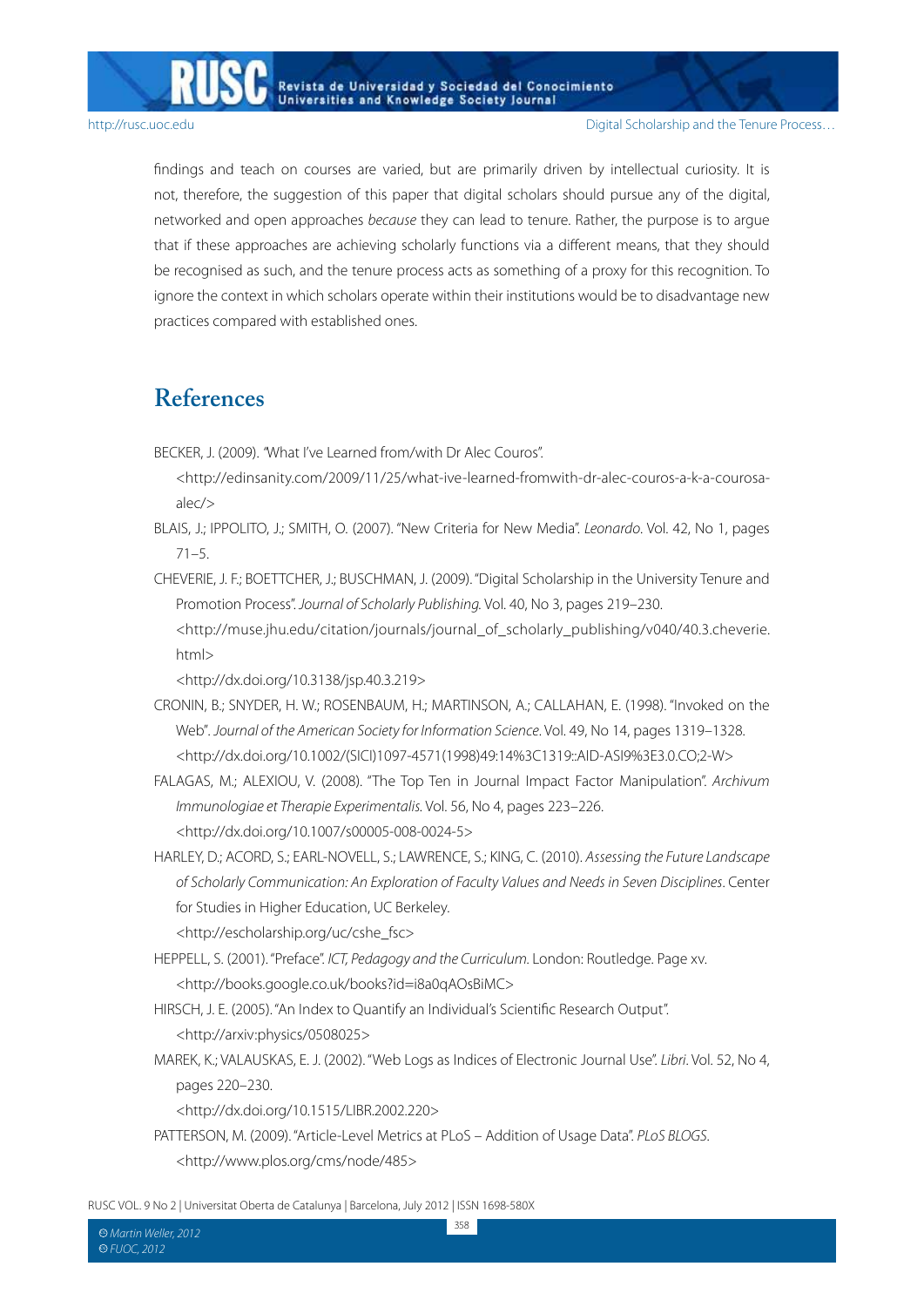findings and teach on courses are varied, but are primarily driven by intellectual curiosity. It is not, therefore, the suggestion of this paper that digital scholars should pursue any of the digital, networked and open approaches *because* they can lead to tenure. Rather, the purpose is to argue that if these approaches are achieving scholarly functions via a different means, that they should be recognised as such, and the tenure process acts as something of a proxy for this recognition. To ignore the context in which scholars operate within their institutions would be to disadvantage new practices compared with established ones.

## **References**

BECKER, J. (2009). *"*What I've Learned from/with Dr Alec Couros".

[<http://edinsanity.com/2009/11/25/what-ive-learned-fromwith-dr-alec-couros-a-k-a-courosa](http://edinsanity.com/2009/11/25/what-ive-learned-fromwith-dr-alec-couros-a-k-a-courosa-alec/)[alec/>](http://edinsanity.com/2009/11/25/what-ive-learned-fromwith-dr-alec-couros-a-k-a-courosa-alec/)

BLAIS, J.; IPPOLITO, J.; SMITH, O. (2007). "New Criteria for New Media". *Leonardo*. Vol. 42, No 1, pages 71–5.

CHEVERIE, J. F.; BOETTCHER, J.; BUSCHMAN, J. (2009). "Digital Scholarship in the University Tenure and Promotion Process". *Journal of Scholarly Publishing.* Vol. 40, No 3, pages 219–230. <[http://muse.jhu.edu/citation/journals/journal\\_of\\_scholarly\\_publishing/v040/40.3.cheverie.](http://muse.jhu.edu/citation/journals/journal_of_scholarly_publishing/v040/40.3.cheverie.html) [html](http://muse.jhu.edu/citation/journals/journal_of_scholarly_publishing/v040/40.3.cheverie.html)>

<http://dx.doi.org/10.3138/jsp.40.3.219>

- CRONIN, B.; SNYDER, H. W.; ROSENBAUM, H.; MARTINSON, A.; CALLAHAN, E. (1998). "Invoked on the Web"*. Journal of the American Society for Information Science*. Vol. 49, No 14, pages 1319–1328. <http://dx.doi.org/10.1002/(SICI)1097-4571(1998)49:14%3C1319::AID-ASI9%3E3.0.CO;2-W>
- FALAGAS, M.; ALEXIOU, V. (2008). "The Top Ten in Journal Impact Factor Manipulation". *Archivum Immunologiae et Therapie Experimentalis.* Vol. 56, No 4, pages 223–226. <http://dx.doi.org/10.1007/s00005-008-0024-5>
- HARLEY, D.; ACORD, S.; EARL-NOVELL, S.; LAWRENCE, S.; KING, C. (2010). *Assessing the Future Landscape of Scholarly Communication: An Exploration of Faculty Values and Needs in Seven Disciplines*. Center for Studies in Higher Education, UC Berkeley. [<http://escholarship.org/uc/cshe\\_fsc](http://escholarship.org/uc/cshe_fsc)>
- HEPPELL, S. (2001). "Preface". *ICT, Pedagogy and the Curriculum.* London: Routledge. Page xv.

[<http://books.google.co.uk/books?id=i8a0qAOsBiMC](http://books.google.co.uk/books?id=i8a0qAOsBiMC)>

HIRSCH, J. E. (2005). "An Index to Quantify an Individual's Scientific Research Output". [<http://arxiv:physics/0508025>](http://arxiv:physics/0508025)

MAREK, K.; VALAUSKAS, E. J. (2002). "Web Logs as Indices of Electronic Journal Use". *Libri*. Vol. 52, No 4, pages 220–230.

<http://dx.doi.org/10.1515/LIBR.2002.220>

PATTERSON, M. (2009). "Article-Level Metrics at PLoS – Addition of Usage Data". *PLoS BLOGS*. [<http://www.plos.org/cms/node/485>](http://www.plos.org/cms/node/485)

RUSC VOL. 9 No 2 | Universitat Oberta de Catalunya | Barcelona, July 2012 | ISSN 1698-580X

*Martin Weller, 2012* **CC** *FUOC, 2012* **CC**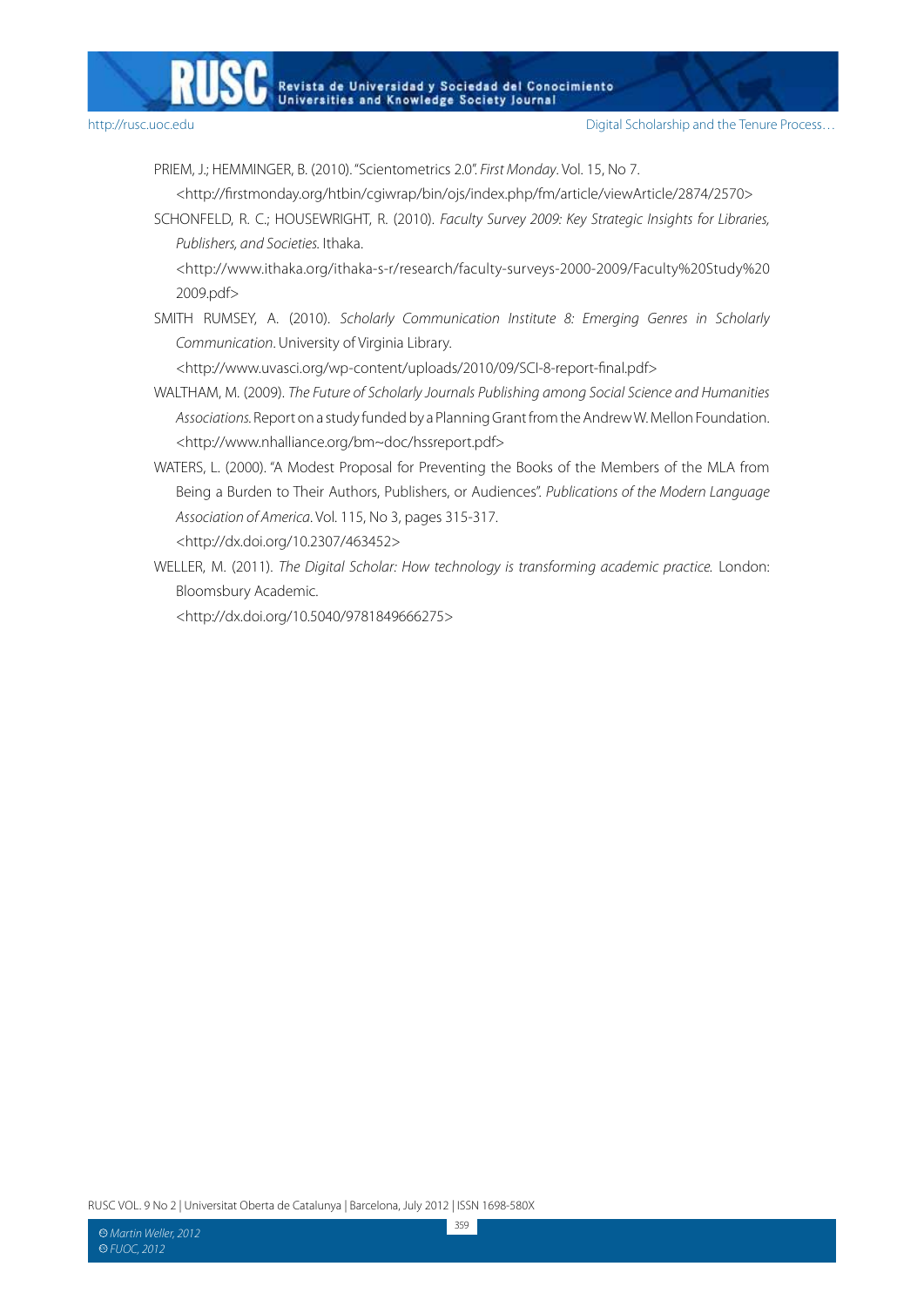PRIEM, J.; HEMMINGER, B. (2010). "Scientometrics 2.0". *First Monday*. Vol. 15, No 7. [<http://firstmonday.org/htbin/cgiwrap/bin/ojs/index.php/fm/article/viewArticle/2874/2570>](http://firstmonday.org/htbin/cgiwrap/bin/ojs/index.php/fm/article/viewArticle/2874/2570)

SCHONFELD, R. C.; HOUSEWRIGHT, R. (2010). *Faculty Survey 2009: Key Strategic Insights for Libraries, Publishers, and Societies.* Ithaka.

<[http://www.ithaka.org/ithaka-s-r/research/faculty-surveys-2000-2009/Faculty%20Study%20](http://www.ithaka.org/ithaka-s-r/research/faculty-surveys-2000-2009/Faculty Study 2009.pdf) [2009.pdf](http://www.ithaka.org/ithaka-s-r/research/faculty-surveys-2000-2009/Faculty Study 2009.pdf)>

SMITH RUMSEY, A. (2010). *Scholarly Communication Institute 8: Emerging Genres in Scholarly Communication*. University of Virginia Library.

[<http://www.uvasci.org/wp-content/uploads/2010/09/SCI-8-report-final.pdf>](http://www.uvasci.org/wp-content/uploads/2010/09/SCI-8-report-final.pdf)

- WALTHAM, M. (2009). *The Future of Scholarly Journals Publishing among Social Science and Humanities Associations.* Report on a study funded by a Planning Grant from the Andrew W. Mellon Foundation. [<http://www.nhalliance.org/bm~doc/hssreport.pdf](http://www.nhalliance.org/bm~doc/hssreport.pdf)>
- WATERS, L. (2000). "A Modest Proposal for Preventing the Books of the Members of the MLA from Being a Burden to Their Authors, Publishers, or Audiences". *Publications of the Modern Language Association of America*. Vol. 115, No 3, pages 315-317.

<http://dx.doi.org/10.2307/463452>

WELLER, M. (2011). *The Digital Scholar: How technology is transforming academic practice.* London: Bloomsbury Academic.

<http://dx.doi.org/10.5040/9781849666275>